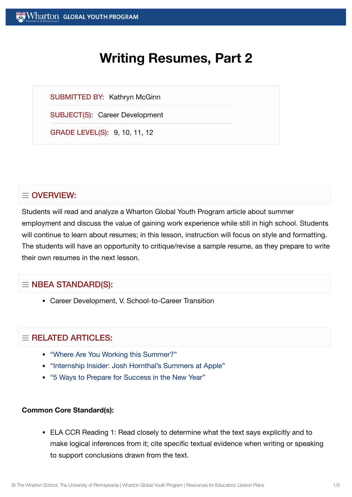# **Writing Resumes, Part 2**

SUBMITTED BY: Kathryn McGinn

SUBJECT(S): Career Development

GRADE LEVEL(S): 9, 10, 11, 12

## $\equiv$  OVERVIEW:

Students will read and analyze a Wharton Global Youth Program article about summer employment and discuss the value of gaining work experience while still in high school. Students will continue to learn about resumes; in this lesson, instruction will focus on style and formatting. The students will have an opportunity to critique/revise a sample resume, as they prepare to write their own resumes in the next lesson.

## $\equiv$  NBEA STANDARD(S):

Career Development, V. School-to-Career Transition

## $=$  RELATED ARTICLES:

- "Where Are You Working [this Summer?"](https://globalyouth.wharton.upenn.edu/articles/where-are-you-working-this-summer/)
- "Internship Insider: Josh [Hornthal's Summers at](https://globalyouth.wharton.upenn.edu/articles/internship-insider-josh-hornthals-summers-at-apple/) Apple"
- "5 Ways to Prepare for [Success in](https://globalyouth.wharton.upenn.edu/articles/a-new-year-and-new-opportunities-are-you-ready/) the New Year"

#### **Common Core Standard(s):**

ELA CCR Reading 1: Read closely to determine what the text says explicitly and to make logical inferences from it; cite specific textual evidence when writing or speaking to support conclusions drawn from the text.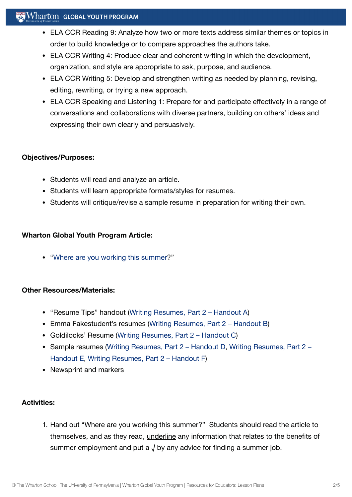## $\mathbb{R}^n$  Wharton Global Youth Program

- ELA CCR Reading 9: Analyze how two or more texts address similar themes or topics in order to build knowledge or to compare approaches the authors take.
- ELA CCR Writing 4: Produce clear and coherent writing in which the development, organization, and style are appropriate to ask, purpose, and audience.
- ELA CCR Writing 5: Develop and strengthen writing as needed by planning, revising, editing, rewriting, or trying a new approach.
- ELA CCR Speaking and Listening 1: Prepare for and participate effectively in a range of conversations and collaborations with diverse partners, building on others' ideas and expressing their own clearly and persuasively.

#### **Objectives/Purposes:**

- Students will read and analyze an article.
- Students will learn appropriate formats/styles for resumes.
- Students will critique/revise a sample resume in preparation for writing their own.

#### **Wharton Global Youth Program Article:**

"Where are you working [this summer](https://globalyouth.wharton.upenn.edu/articles/where-are-you-working-this-summer/)?"

#### **Other Resources/Materials:**

- "Resume Tips" handout (Writing Resumes, Part 2  [Handout](https://globalyouth.wharton.upenn.edu/wp-content/uploads/2011/09/Career-Development-2_School.HandoutA.pdf) A)
- Emma Fakestudent's resumes (Writing Resumes, Part 2  [Handout](https://globalyouth.wharton.upenn.edu/wp-content/uploads/2011/09/Career-Development-2_School.handoutB.pdf) B)
- Goldilocks' Resume (Writing Resumes, Part 2  [Handout](https://globalyouth.wharton.upenn.edu/wp-content/uploads/2011/09/Career-Development-2_School.handoutC.pdf) C)
- Sample [resumes \(Writing](https://globalyouth.wharton.upenn.edu/wp-content/uploads/2011/09/Career-Development-2_School.handoutE.pdf) Resumes, Part 2  [Handout](https://globalyouth.wharton.upenn.edu/wp-content/uploads/2011/09/Career-Development-2_School.handoutD.pdf) D. Writing Resumes, Part 2 Handout E, Writing Resumes, Part 2 [– Handout](https://globalyouth.wharton.upenn.edu/wp-content/uploads/2011/09/Career-Development-2_School.handoutF.pdf) F)
- Newsprint and markers

#### **Activities:**

1. Hand out "Where are you working this summer?" Students should read the article to themselves, and as they read, underline any information that relates to the benefits of summer employment and put a  $\sqrt{ }$  by any advice for finding a summer job.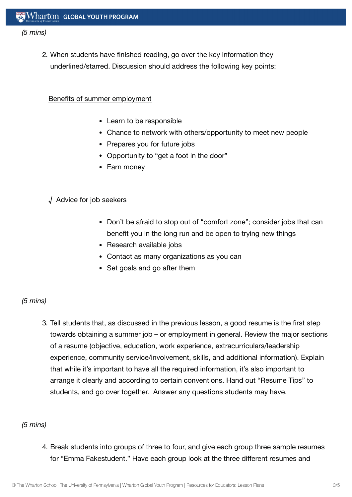#### *(5 mins)*

2. When students have finished reading, go over the key information they underlined/starred. Discussion should address the following key points:

#### Benefits of summer employment

- Learn to be responsible
- Chance to network with others/opportunity to meet new people
- Prepares you for future jobs
- Opportunity to "get a foot in the door"
- Earn money

#### √ Advice for job seekers

- Don't be afraid to stop out of "comfort zone"; consider jobs that can benefit you in the long run and be open to trying new things
- Research available jobs
- Contact as many organizations as you can
- Set goals and go after them

#### *(5 mins)*

3. Tell students that, as discussed in the previous lesson, a good resume is the first step towards obtaining a summer job – or employment in general. Review the major sections of a resume (objective, education, work experience, extracurriculars/leadership experience, community service/involvement, skills, and additional information). Explain that while it's important to have all the required information, it's also important to arrange it clearly and according to certain conventions. Hand out "Resume Tips" to students, and go over together. Answer any questions students may have.

#### *(5 mins)*

4. Break students into groups of three to four, and give each group three sample resumes for "Emma Fakestudent." Have each group look at the three different resumes and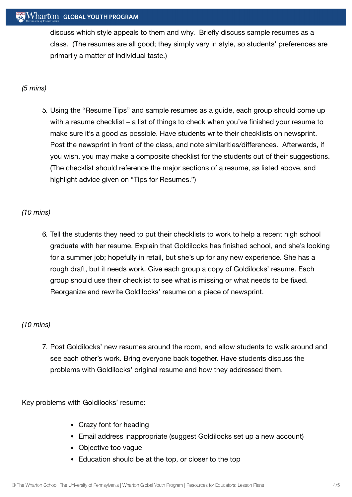## Wharton GLOBAL YOUTH PROGRAM

discuss which style appeals to them and why. Briefly discuss sample resumes as a class. (The resumes are all good; they simply vary in style, so students' preferences are primarily a matter of individual taste.)

#### *(5 mins)*

5. Using the "Resume Tips" and sample resumes as a guide, each group should come up with a resume checklist – a list of things to check when you've finished your resume to make sure it's a good as possible. Have students write their checklists on newsprint. Post the newsprint in front of the class, and note similarities/differences. Afterwards, if you wish, you may make a composite checklist for the students out of their suggestions. (The checklist should reference the major sections of a resume, as listed above, and highlight advice given on "Tips for Resumes.")

#### *(10 mins)*

6. Tell the students they need to put their checklists to work to help a recent high school graduate with her resume. Explain that Goldilocks has finished school, and she's looking for a summer job; hopefully in retail, but she's up for any new experience. She has a rough draft, but it needs work. Give each group a copy of Goldilocks' resume. Each group should use their checklist to see what is missing or what needs to be fixed. Reorganize and rewrite Goldilocks' resume on a piece of newsprint.

## *(10 mins)*

7. Post Goldilocks' new resumes around the room, and allow students to walk around and see each other's work. Bring everyone back together. Have students discuss the problems with Goldilocks' original resume and how they addressed them.

Key problems with Goldilocks' resume:

- Crazy font for heading
- Email address inappropriate (suggest Goldilocks set up a new account)
- Objective too vague
- Education should be at the top, or closer to the top